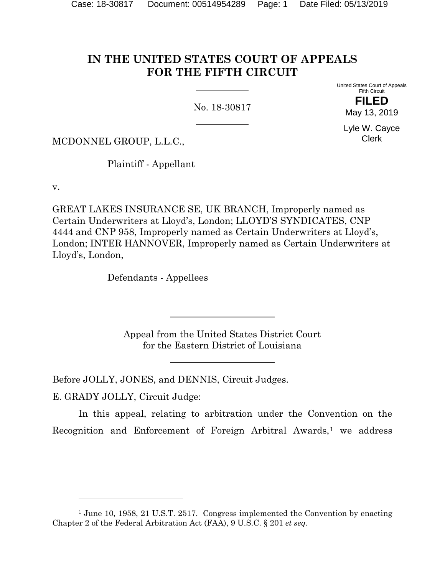# **IN THE UNITED STATES COURT OF APPEALS FOR THE FIFTH CIRCUIT**

No. 18-30817

United States Court of Appeals Fifth Circuit **FILED**

May 13, 2019

Lyle W. Cayce Clerk

MCDONNEL GROUP, L.L.C.,

Plaintiff - Appellant

v.

GREAT LAKES INSURANCE SE, UK BRANCH, Improperly named as Certain Underwriters at Lloyd's, London; LLOYD'S SYNDICATES, CNP 4444 and CNP 958, Improperly named as Certain Underwriters at Lloyd's, London; INTER HANNOVER, Improperly named as Certain Underwriters at Lloyd's, London,

Defendants - Appellees

Appeal from the United States District Court for the Eastern District of Louisiana

Before JOLLY, JONES, and DENNIS, Circuit Judges.

E. GRADY JOLLY, Circuit Judge:

 $\overline{a}$ 

In this appeal, relating to arbitration under the Convention on the Recognition and Enforcement of Foreign Arbitral Awards,<sup>[1](#page-0-0)</sup> we address

<span id="page-0-0"></span><sup>&</sup>lt;sup>1</sup> June 10, 1958, 21 U.S.T. 2517. Congress implemented the Convention by enacting Chapter 2 of the Federal Arbitration Act (FAA), 9 U.S.C. § 201 *et seq.*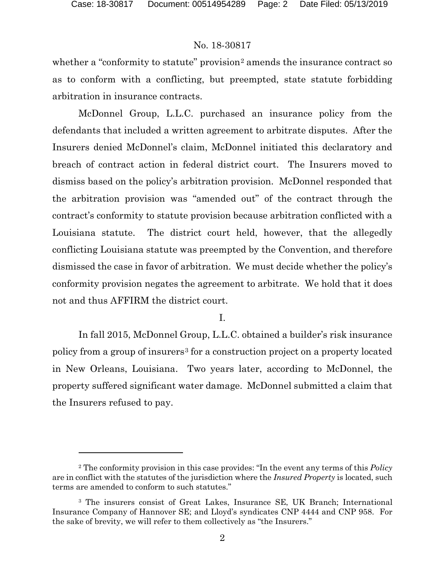# No. 18-30817

whether a "conformity to statute" provision<sup>[2](#page-1-0)</sup> amends the insurance contract so as to conform with a conflicting, but preempted, state statute forbidding arbitration in insurance contracts.

McDonnel Group, L.L.C. purchased an insurance policy from the defendants that included a written agreement to arbitrate disputes. After the Insurers denied McDonnel's claim, McDonnel initiated this declaratory and breach of contract action in federal district court. The Insurers moved to dismiss based on the policy's arbitration provision. McDonnel responded that the arbitration provision was "amended out" of the contract through the contract's conformity to statute provision because arbitration conflicted with a Louisiana statute. The district court held, however, that the allegedly conflicting Louisiana statute was preempted by the Convention, and therefore dismissed the case in favor of arbitration. We must decide whether the policy's conformity provision negates the agreement to arbitrate. We hold that it does not and thus AFFIRM the district court.

#### I.

In fall 2015, McDonnel Group, L.L.C. obtained a builder's risk insurance policy from a group of insurers<sup>[3](#page-1-1)</sup> for a construction project on a property located in New Orleans, Louisiana. Two years later, according to McDonnel, the property suffered significant water damage. McDonnel submitted a claim that the Insurers refused to pay.

<span id="page-1-0"></span><sup>2</sup> The conformity provision in this case provides: "In the event any terms of this *Policy* are in conflict with the statutes of the jurisdiction where the *Insured Property* is located, such terms are amended to conform to such statutes."

<span id="page-1-1"></span><sup>3</sup> The insurers consist of Great Lakes, Insurance SE, UK Branch; International Insurance Company of Hannover SE; and Lloyd's syndicates CNP 4444 and CNP 958. For the sake of brevity, we will refer to them collectively as "the Insurers."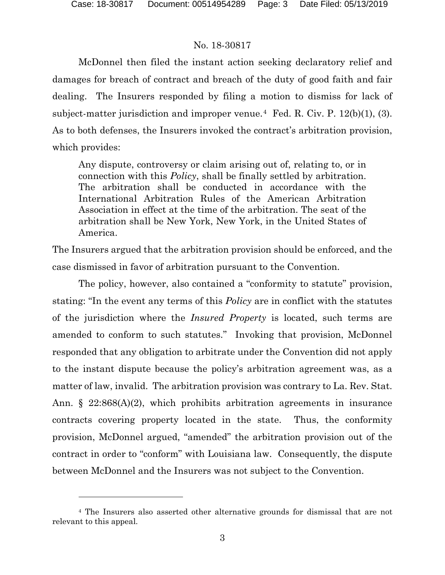### No. 18-30817

McDonnel then filed the instant action seeking declaratory relief and damages for breach of contract and breach of the duty of good faith and fair dealing. The Insurers responded by filing a motion to dismiss for lack of subject-matter jurisdiction and improper venue.<sup>4</sup> Fed. R. Civ. P.  $12(b)(1)$ , (3). As to both defenses, the Insurers invoked the contract's arbitration provision, which provides:

Any dispute, controversy or claim arising out of, relating to, or in connection with this *Policy*, shall be finally settled by arbitration. The arbitration shall be conducted in accordance with the International Arbitration Rules of the American Arbitration Association in effect at the time of the arbitration. The seat of the arbitration shall be New York, New York, in the United States of America.

The Insurers argued that the arbitration provision should be enforced, and the case dismissed in favor of arbitration pursuant to the Convention.

The policy, however, also contained a "conformity to statute" provision, stating: "In the event any terms of this *Policy* are in conflict with the statutes of the jurisdiction where the *Insured Property* is located, such terms are amended to conform to such statutes." Invoking that provision, McDonnel responded that any obligation to arbitrate under the Convention did not apply to the instant dispute because the policy's arbitration agreement was, as a matter of law, invalid. The arbitration provision was contrary to La. Rev. Stat. Ann. § 22:868(A)(2), which prohibits arbitration agreements in insurance contracts covering property located in the state. Thus, the conformity provision, McDonnel argued, "amended" the arbitration provision out of the contract in order to "conform" with Louisiana law. Consequently, the dispute between McDonnel and the Insurers was not subject to the Convention.

<span id="page-2-0"></span><sup>4</sup> The Insurers also asserted other alternative grounds for dismissal that are not relevant to this appeal.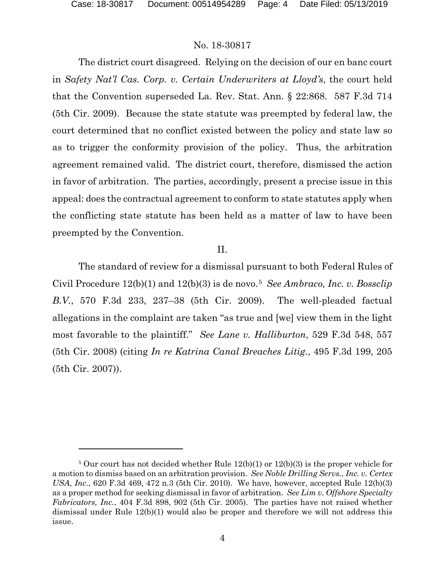l

### No. 18-30817

The district court disagreed. Relying on the decision of our en banc court in *Safety Nat'l Cas. Corp. v. Certain Underwriters at Lloyd's*, the court held that the Convention superseded La. Rev. Stat. Ann. § 22:868. 587 F.3d 714 (5th Cir. 2009). Because the state statute was preempted by federal law, the court determined that no conflict existed between the policy and state law so as to trigger the conformity provision of the policy. Thus, the arbitration agreement remained valid. The district court, therefore, dismissed the action in favor of arbitration. The parties, accordingly, present a precise issue in this appeal: does the contractual agreement to conform to state statutes apply when the conflicting state statute has been held as a matter of law to have been preempted by the Convention.

#### II.

The standard of review for a dismissal pursuant to both Federal Rules of Civil Procedure 12(b)(1) and 12(b)(3) is de novo.[5](#page-3-0) *See Ambraco, Inc. v. Bossclip B.V.*, 570 F.3d 233, 237–38 (5th Cir. 2009). The well-pleaded factual allegations in the complaint are taken "as true and [we] view them in the light most favorable to the plaintiff." *See Lane v. Halliburton*, 529 F.3d 548, 557 (5th Cir. 2008) (citing *In re Katrina Canal Breaches Litig.*, 495 F.3d 199, 205 (5th Cir. 2007)).

<span id="page-3-0"></span><sup>&</sup>lt;sup>5</sup> Our court has not decided whether Rule  $12(b)(1)$  or  $12(b)(3)$  is the proper vehicle for a motion to dismiss based on an arbitration provision. *See Noble Drilling Servs., Inc. v. Certex USA, Inc.*, 620 F.3d 469, 472 n.3 (5th Cir. 2010). We have, however, accepted Rule 12(b)(3) as a proper method for seeking dismissal in favor of arbitration. *See Lim v. Offshore Specialty Fabricators, Inc.*, 404 F.3d 898, 902 (5th Cir. 2005). The parties have not raised whether dismissal under Rule 12(b)(1) would also be proper and therefore we will not address this issue.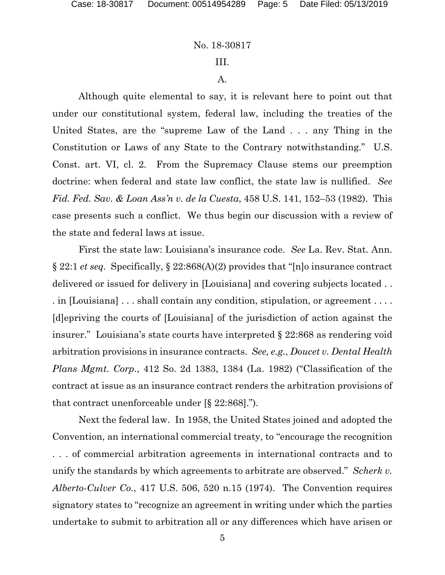#### No. 18-30817

# III.

#### A.

Although quite elemental to say, it is relevant here to point out that under our constitutional system, federal law, including the treaties of the United States, are the "supreme Law of the Land . . . any Thing in the Constitution or Laws of any State to the Contrary notwithstanding." U.S. Const. art. VI, cl. 2. From the Supremacy Clause stems our preemption doctrine: when federal and state law conflict, the state law is nullified. *See Fid. Fed. Sav. & Loan Ass'n v. de la Cuesta*, 458 U.S. 141, 152–53 (1982). This case presents such a conflict. We thus begin our discussion with a review of the state and federal laws at issue.

First the state law: Louisiana's insurance code. *See* La. Rev. Stat. Ann. § 22:1 *et seq.* Specifically, § 22:868(A)(2) provides that "[n]o insurance contract delivered or issued for delivery in [Louisiana] and covering subjects located . . . in [Louisiana] . . . shall contain any condition, stipulation, or agreement . . . . [d]epriving the courts of [Louisiana] of the jurisdiction of action against the insurer." Louisiana's state courts have interpreted § 22:868 as rendering void arbitration provisions in insurance contracts. *See, e.g.*, *Doucet v. Dental Health Plans Mgmt. Corp.*, 412 So. 2d 1383, 1384 (La. 1982) ("Classification of the contract at issue as an insurance contract renders the arbitration provisions of that contract unenforceable under [§ 22:868].").

Next the federal law. In 1958, the United States joined and adopted the Convention, an international commercial treaty, to "encourage the recognition . . . of commercial arbitration agreements in international contracts and to unify the standards by which agreements to arbitrate are observed." *Scherk v. Alberto-Culver Co.*, 417 U.S. 506, 520 n.15 (1974). The Convention requires signatory states to "recognize an agreement in writing under which the parties undertake to submit to arbitration all or any differences which have arisen or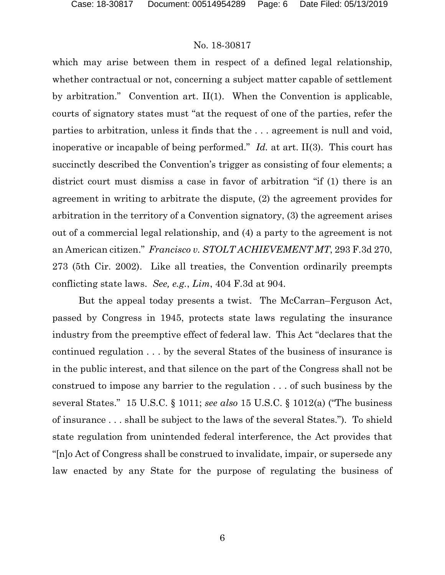# No. 18-30817

which may arise between them in respect of a defined legal relationship, whether contractual or not, concerning a subject matter capable of settlement by arbitration." Convention art. II(1). When the Convention is applicable, courts of signatory states must "at the request of one of the parties, refer the parties to arbitration, unless it finds that the . . . agreement is null and void, inoperative or incapable of being performed." *Id.* at art. II(3). This court has succinctly described the Convention's trigger as consisting of four elements; a district court must dismiss a case in favor of arbitration "if (1) there is an agreement in writing to arbitrate the dispute, (2) the agreement provides for arbitration in the territory of a Convention signatory, (3) the agreement arises out of a commercial legal relationship, and (4) a party to the agreement is not an American citizen." *Francisco v. STOLT ACHIEVEMENT MT*, 293 F.3d 270, 273 (5th Cir. 2002). Like all treaties, the Convention ordinarily preempts conflicting state laws. *See, e.g.*, *Lim*, 404 F.3d at 904.

But the appeal today presents a twist. The McCarran–Ferguson Act, passed by Congress in 1945, protects state laws regulating the insurance industry from the preemptive effect of federal law. This Act "declares that the continued regulation . . . by the several States of the business of insurance is in the public interest, and that silence on the part of the Congress shall not be construed to impose any barrier to the regulation . . . of such business by the several States." 15 U.S.C. § 1011; *see also* 15 U.S.C. § 1012(a) ("The business of insurance . . . shall be subject to the laws of the several States."). To shield state regulation from unintended federal interference, the Act provides that "[n]o Act of Congress shall be construed to invalidate, impair, or supersede any law enacted by any State for the purpose of regulating the business of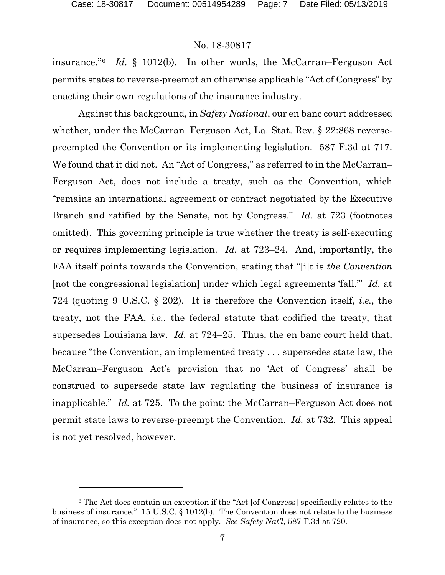### No. 18-30817

insurance."[6](#page-6-0) *Id.* § 1012(b). In other words, the McCarran–Ferguson Act permits states to reverse-preempt an otherwise applicable "Act of Congress" by enacting their own regulations of the insurance industry.

Against this background, in *Safety National*, our en banc court addressed whether, under the McCarran–Ferguson Act, La. Stat. Rev. § 22:868 reversepreempted the Convention or its implementing legislation. 587 F.3d at 717. We found that it did not. An "Act of Congress," as referred to in the McCarran– Ferguson Act, does not include a treaty, such as the Convention, which "remains an international agreement or contract negotiated by the Executive Branch and ratified by the Senate, not by Congress." *Id.* at 723 (footnotes omitted). This governing principle is true whether the treaty is self-executing or requires implementing legislation. *Id.* at 723–24. And, importantly, the FAA itself points towards the Convention, stating that "[i]t is *the Convention* [not the congressional legislation] under which legal agreements 'fall.'" *Id.* at 724 (quoting 9 U.S.C. § 202). It is therefore the Convention itself, *i.e.*, the treaty, not the FAA, *i.e.*, the federal statute that codified the treaty, that supersedes Louisiana law. *Id.* at 724–25. Thus, the en banc court held that, because "the Convention, an implemented treaty . . . supersedes state law, the McCarran–Ferguson Act's provision that no 'Act of Congress' shall be construed to supersede state law regulating the business of insurance is inapplicable." *Id.* at 725. To the point: the McCarran–Ferguson Act does not permit state laws to reverse-preempt the Convention. *Id.* at 732. This appeal is not yet resolved, however.

<span id="page-6-0"></span><sup>6</sup> The Act does contain an exception if the "Act [of Congress] specifically relates to the business of insurance." 15 U.S.C. § 1012(b). The Convention does not relate to the business of insurance, so this exception does not apply. *See Safety Nat'l*, 587 F.3d at 720.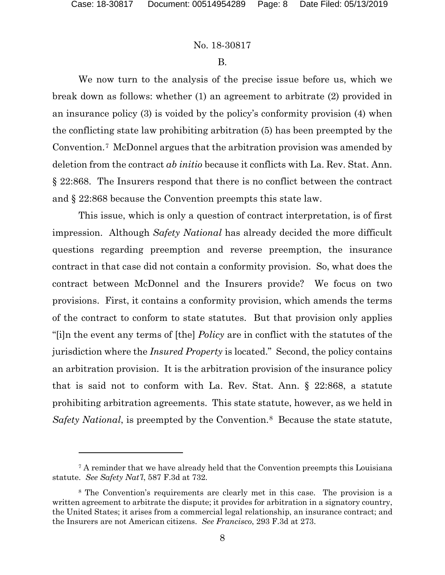### No. 18-30817

#### B.

We now turn to the analysis of the precise issue before us, which we break down as follows: whether (1) an agreement to arbitrate (2) provided in an insurance policy (3) is voided by the policy's conformity provision (4) when the conflicting state law prohibiting arbitration (5) has been preempted by the Convention.[7](#page-7-0) McDonnel argues that the arbitration provision was amended by deletion from the contract *ab initio* because it conflicts with La. Rev. Stat. Ann. § 22:868. The Insurers respond that there is no conflict between the contract and § 22:868 because the Convention preempts this state law.

This issue, which is only a question of contract interpretation, is of first impression. Although *Safety National* has already decided the more difficult questions regarding preemption and reverse preemption, the insurance contract in that case did not contain a conformity provision. So, what does the contract between McDonnel and the Insurers provide? We focus on two provisions. First, it contains a conformity provision, which amends the terms of the contract to conform to state statutes. But that provision only applies "[i]n the event any terms of [the] *Policy* are in conflict with the statutes of the jurisdiction where the *Insured Property* is located." Second, the policy contains an arbitration provision. It is the arbitration provision of the insurance policy that is said not to conform with La. Rev. Stat. Ann. § 22:868, a statute prohibiting arbitration agreements. This state statute, however, as we held in *Safety National*, is preempted by the Convention.<sup>[8](#page-7-1)</sup> Because the state statute,

<span id="page-7-0"></span><sup>7</sup> A reminder that we have already held that the Convention preempts this Louisiana statute. *See Safety Nat'l*, 587 F.3d at 732.

<span id="page-7-1"></span><sup>8</sup> The Convention's requirements are clearly met in this case. The provision is a written agreement to arbitrate the dispute; it provides for arbitration in a signatory country, the United States; it arises from a commercial legal relationship, an insurance contract; and the Insurers are not American citizens. *See Francisco*, 293 F.3d at 273.